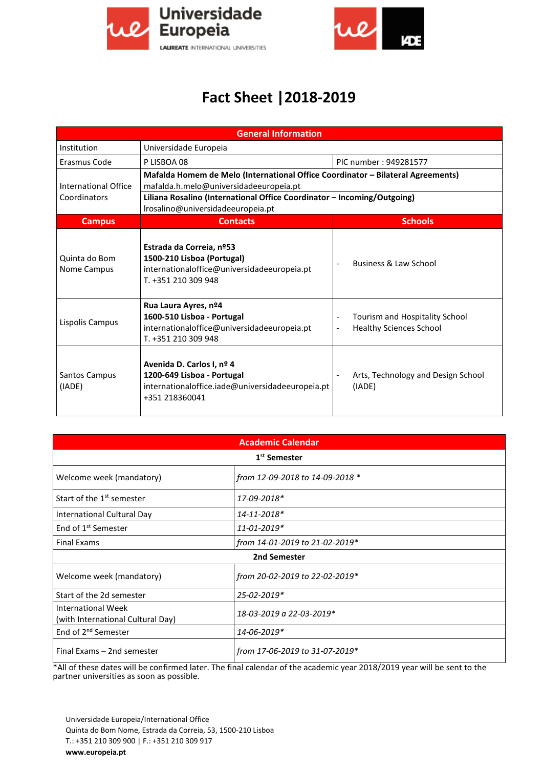



## **Fact Sheet |2018-2019**

| <b>General Information</b>           |                                                                                                                                                                                                                                           |                                                                                                                |  |  |
|--------------------------------------|-------------------------------------------------------------------------------------------------------------------------------------------------------------------------------------------------------------------------------------------|----------------------------------------------------------------------------------------------------------------|--|--|
| Institution                          | Universidade Europeia                                                                                                                                                                                                                     |                                                                                                                |  |  |
| Erasmus Code                         | P LISBOA 08                                                                                                                                                                                                                               | PIC number: 949281577                                                                                          |  |  |
| International Office<br>Coordinators | Mafalda Homem de Melo (International Office Coordinator - Bilateral Agreements)<br>mafalda.h.melo@universidadeeuropeia.pt<br>Liliana Rosalino (International Office Coordinator – Incoming/Outgoing)<br>Irosalino@universidadeeuropeia.pt |                                                                                                                |  |  |
| <b>Campus</b>                        | <b>Contacts</b>                                                                                                                                                                                                                           | <b>Schools</b>                                                                                                 |  |  |
| Quinta do Bom<br>Nome Campus         | Estrada da Correia, nº53<br>1500-210 Lisboa (Portugal)<br>internationaloffice@universidadeeuropeia.pt<br>T. +351 210 309 948                                                                                                              | Business & Law School<br>$\overline{a}$                                                                        |  |  |
| Lispolis Campus                      | Rua Laura Ayres, nº4<br>1600-510 Lisboa - Portugal<br>internationaloffice@universidadeeuropeia.pt<br>T. +351 210 309 948                                                                                                                  | Tourism and Hospitality School<br>$\overline{\phantom{0}}$<br><b>Healthy Sciences School</b><br>$\blacksquare$ |  |  |
| Santos Campus<br>(IADE)              | Avenida D. Carlos I, nº 4<br>1200-649 Lisboa - Portugal<br>internationaloffice.iade@universidadeeuropeia.pt<br>+351 218360041                                                                                                             | Arts, Technology and Design School<br>(IADE)                                                                   |  |  |

| <b>Academic Calendar</b>                                       |                                 |  |  |  |
|----------------------------------------------------------------|---------------------------------|--|--|--|
| 1 <sup>st</sup> Semester                                       |                                 |  |  |  |
| Welcome week (mandatory)                                       | from 12-09-2018 to 14-09-2018 * |  |  |  |
| Start of the 1 <sup>st</sup> semester                          | 17-09-2018*                     |  |  |  |
| International Cultural Day                                     | 14-11-2018*                     |  |  |  |
| End of 1 <sup>st</sup> Semester                                | 11-01-2019*                     |  |  |  |
| <b>Final Exams</b>                                             | from 14-01-2019 to 21-02-2019*  |  |  |  |
| 2nd Semester                                                   |                                 |  |  |  |
| Welcome week (mandatory)                                       | from 20-02-2019 to 22-02-2019*  |  |  |  |
| Start of the 2d semester                                       | 25-02-2019*                     |  |  |  |
| <b>International Week</b><br>(with International Cultural Day) | 18-03-2019 a 22-03-2019*        |  |  |  |
| End of 2 <sup>nd</sup> Semester                                | 14-06-2019*                     |  |  |  |
| Final Exams - 2nd semester                                     | from 17-06-2019 to 31-07-2019*  |  |  |  |

\*All of these dates will be confirmed later. The final calendar of the academic year 2018/2019 year will be sent to the partner universities as soon as possible.